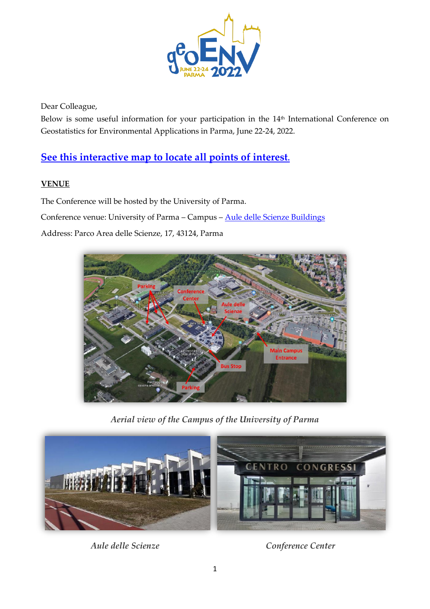

Dear Colleague,

Below is some useful information for your participation in the 14<sup>th</sup> International Conference on Geostatistics for Environmental Applications in Parma, June 22-24, 2022.

# **[See this interactive map to locate all points of interest](https://eur01.safelinks.protection.outlook.com/?url=https%3A%2F%2Fwww.google.com%2Fmaps%2Fd%2Fedit%3Fmid%3D18VYv5HjOcAMO-PEnHVvzv617amqTT8e2%26usp%3Dsharing&data=04%7C01%7Candrea.zanini%40unipr.it%7C3afb977ef63d48b5156908d92b535832%7Cbb064bc5b7a841ecbabed7beb3faeb1c%7C0%7C0%7C637588459216766601%7CUnknown%7CTWFpbGZsb3d8eyJWIjoiMC4wLjAwMDAiLCJQIjoiV2luMzIiLCJBTiI6Ik1haWwiLCJXVCI6Mn0%3D%7C1000&sdata=rwapnUyuVuKhkwjMD6NfBLRUUP5dFpC9z4UcHzxJIxU%3D&reserved=0).**

#### **VENUE**

The Conference will be hosted by the University of Parma.

Conference venue: University of Parma – Campus – [Aule delle Scienze Buildings](https://www.google.it/maps/place/Aule+delle+Scienze/@44.7655121,10.3150756,17z/data=!3m1!4b1!4m5!3m4!1s0x47806b67c91e4fa1:0x45edc2f4e280349d!8m2!3d44.7655083!4d10.3172643)

Address: Parco Area delle Scienze, 17, 43124, Parma



*Aerial view of the Campus of the University of Parma*



 *Aule delle Scienze Conference Center*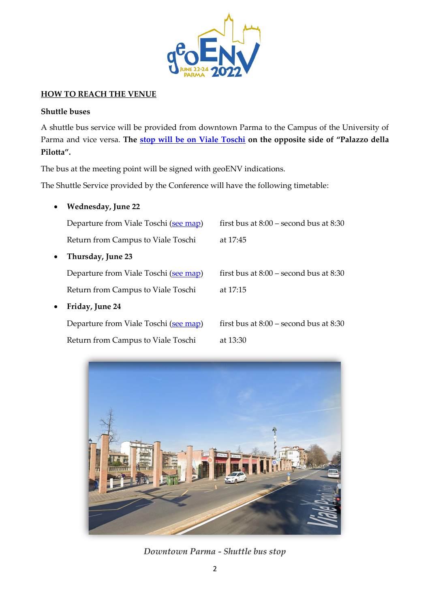

#### **HOW TO REACH THE VENUE**

#### **Shuttle buses**

A shuttle bus service will be provided from downtown Parma to the Campus of the University of Parma and vice versa. **The [stop will be on Viale Toschi](https://goo.gl/maps/PsBvjfJeYxwpkL6Z7) on the opposite side of "Palazzo della Pilotta".**

The bus at the meeting point will be signed with geoENV indications.

The Shuttle Service provided by the Conference will have the following timetable:

| $\bullet$ | <b>Wednesday, June 22</b>             |                                            |
|-----------|---------------------------------------|--------------------------------------------|
|           | Departure from Viale Toschi (see map) | first bus at $8:00$ – second bus at $8:30$ |
|           | Return from Campus to Viale Toschi    | at 17:45                                   |
| $\bullet$ | Thursday, June 23                     |                                            |
|           | Departure from Viale Toschi (see map) | first bus at $8:00$ – second bus at $8:30$ |
|           | Return from Campus to Viale Toschi    | at 17:15                                   |
| $\bullet$ | Friday, June 24                       |                                            |
|           | Departure from Viale Toschi (see map) | first bus at $8:00$ – second bus at $8:30$ |
|           | Return from Campus to Viale Toschi    | at 13:30                                   |



*Downtown Parma - Shuttle bus stop*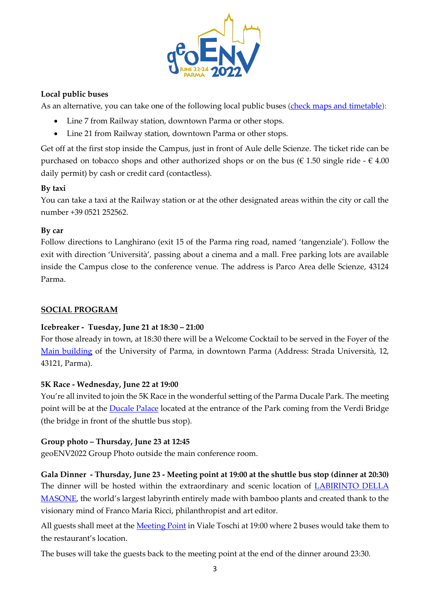

### **Local public buses**

As an alternative, you can take one of the following local public buses [\(check maps and timetable\)](https://www.tep.pr.it/en/lines-and-timetables/linee-urbane/):

- Line 7 from Railway station, downtown Parma or other stops.
- Line 21 from Railway station, downtown Parma or other stops.

Get off at the first stop inside the Campus, just in front of Aule delle Scienze. The ticket ride can be purchased on tobacco shops and other authorized shops or on the bus ( $\epsilon$  1.50 single ride -  $\epsilon$  4.00 daily permit) by cash or credit card (contactless).

# **By taxi**

You can take a taxi at the Railway station or at the other designated areas within the city or call the number +39 0521 252562.

# **By car**

Follow directions to Langhirano (exit 15 of the Parma ring road, named 'tangenziale'). Follow the exit with direction 'Università', passing about a cinema and a mall. Free parking lots are available inside the Campus close to the conference venue. The address is Parco Area delle Scienze, 43124 Parma.

# **SOCIAL PROGRAM**

# **Icebreaker - Tuesday, June 21 at 18:30 – 21:00**

For those already in town, at 18:30 there will be a Welcome Cocktail to be served in the Foyer of the [Main building](https://goo.gl/maps/92hVRzwx8SQSME5s9) of the University of Parma, in downtown Parma (Address: Strada Università, 12, 43121, Parma).

#### **5K Race - Wednesday, June 22 at 19:00**

You're all invited to join the 5K Race in the wonderful setting of the Parma Ducale Park. The meeting point will be at the [Ducale Palace](https://goo.gl/maps/aZkGffqjYe7GQBdt9) located at the entrance of the Park coming from the Verdi Bridge (the bridge in front of the shuttle bus stop).

# **Group photo – Thursday, June 23 at 12:45**

geoENV2022 Group Photo outside the main conference room.

**Gala Dinner - Thursday, June 23 - Meeting point at 19:00 at the shuttle bus stop (dinner at 20:30)** The dinner will be hosted within the extraordinary and scenic location of **LABIRINTO DELLA** [MASONE](https://www.labirintodifrancomariaricci.it/en/labirinto-masone/home-en/), the world's largest labyrinth entirely made with bamboo plants and created thank to the visionary mind of Franco Maria Ricci, philanthropist and art editor.

All guests shall meet at the **Meeting Point** in Viale Toschi at 19:00 where 2 buses would take them to the restaurant's location.

The buses will take the guests back to the meeting point at the end of the dinner around 23:30.